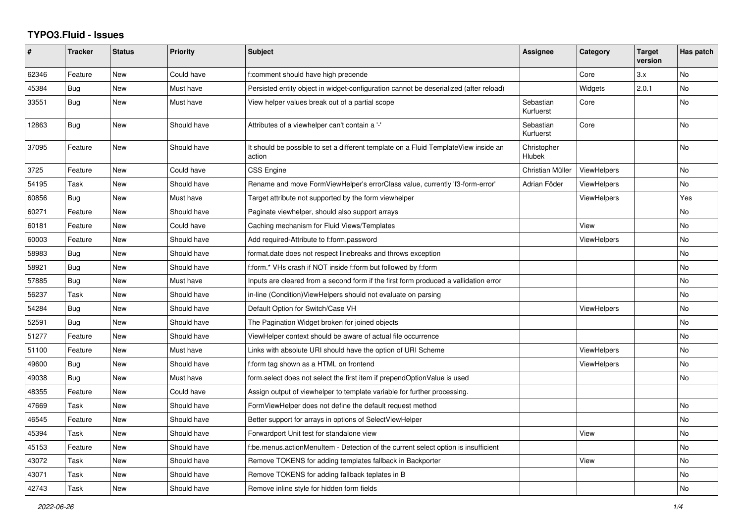## **TYPO3.Fluid - Issues**

| #     | <b>Tracker</b> | <b>Status</b> | Priority    | <b>Subject</b>                                                                                | Assignee                     | Category           | <b>Target</b><br>version | Has patch |
|-------|----------------|---------------|-------------|-----------------------------------------------------------------------------------------------|------------------------------|--------------------|--------------------------|-----------|
| 62346 | Feature        | New           | Could have  | f:comment should have high precende                                                           |                              | Core               | 3.x                      | No        |
| 45384 | Bug            | <b>New</b>    | Must have   | Persisted entity object in widget-configuration cannot be deserialized (after reload)         |                              | Widgets            | 2.0.1                    | <b>No</b> |
| 33551 | Bug            | <b>New</b>    | Must have   | View helper values break out of a partial scope                                               | Sebastian<br>Kurfuerst       | Core               |                          | No        |
| 12863 | Bug            | New           | Should have | Attributes of a viewhelper can't contain a '-'                                                | Sebastian<br>Kurfuerst       | Core               |                          | <b>No</b> |
| 37095 | Feature        | New           | Should have | It should be possible to set a different template on a Fluid TemplateView inside an<br>action | Christopher<br><b>Hlubek</b> |                    |                          | <b>No</b> |
| 3725  | Feature        | New           | Could have  | <b>CSS Engine</b>                                                                             | Christian Müller             | <b>ViewHelpers</b> |                          | No        |
| 54195 | Task           | New           | Should have | Rename and move FormViewHelper's errorClass value, currently 'f3-form-error'                  | Adrian Föder                 | <b>ViewHelpers</b> |                          | No        |
| 60856 | Bug            | New           | Must have   | Target attribute not supported by the form viewhelper                                         |                              | <b>ViewHelpers</b> |                          | Yes       |
| 60271 | Feature        | New           | Should have | Paginate viewhelper, should also support arrays                                               |                              |                    |                          | No        |
| 60181 | Feature        | New           | Could have  | Caching mechanism for Fluid Views/Templates                                                   |                              | View               |                          | <b>No</b> |
| 60003 | Feature        | New           | Should have | Add required-Attribute to f:form.password                                                     |                              | <b>ViewHelpers</b> |                          | No        |
| 58983 | Bug            | New           | Should have | format.date does not respect linebreaks and throws exception                                  |                              |                    |                          | <b>No</b> |
| 58921 | Bug            | New           | Should have | f:form.* VHs crash if NOT inside f:form but followed by f:form                                |                              |                    |                          | No        |
| 57885 | <b>Bug</b>     | New           | Must have   | Inputs are cleared from a second form if the first form produced a vallidation error          |                              |                    |                          | No.       |
| 56237 | Task           | New           | Should have | in-line (Condition) View Helpers should not evaluate on parsing                               |                              |                    |                          | No        |
| 54284 | Bug            | <b>New</b>    | Should have | Default Option for Switch/Case VH                                                             |                              | <b>ViewHelpers</b> |                          | <b>No</b> |
| 52591 | Bug            | <b>New</b>    | Should have | The Pagination Widget broken for joined objects                                               |                              |                    |                          | <b>No</b> |
| 51277 | Feature        | New           | Should have | ViewHelper context should be aware of actual file occurrence                                  |                              |                    |                          | No        |
| 51100 | Feature        | New           | Must have   | Links with absolute URI should have the option of URI Scheme                                  |                              | <b>ViewHelpers</b> |                          | No        |
| 49600 | Bug            | New           | Should have | f:form tag shown as a HTML on frontend                                                        |                              | <b>ViewHelpers</b> |                          | No        |
| 49038 | Bug            | New           | Must have   | form.select does not select the first item if prependOptionValue is used                      |                              |                    |                          | <b>No</b> |
| 48355 | Feature        | New           | Could have  | Assign output of viewhelper to template variable for further processing.                      |                              |                    |                          |           |
| 47669 | Task           | New           | Should have | FormViewHelper does not define the default request method                                     |                              |                    |                          | No        |
| 46545 | Feature        | New           | Should have | Better support for arrays in options of SelectViewHelper                                      |                              |                    |                          | No        |
| 45394 | Task           | New           | Should have | Forwardport Unit test for standalone view                                                     |                              | View               |                          | <b>No</b> |
| 45153 | Feature        | New           | Should have | f:be.menus.actionMenuItem - Detection of the current select option is insufficient            |                              |                    |                          | No        |
| 43072 | Task           | New           | Should have | Remove TOKENS for adding templates fallback in Backporter                                     |                              | View               |                          | No        |
| 43071 | Task           | New           | Should have | Remove TOKENS for adding fallback teplates in B                                               |                              |                    |                          | <b>No</b> |
| 42743 | Task           | <b>New</b>    | Should have | Remove inline style for hidden form fields                                                    |                              |                    |                          | No        |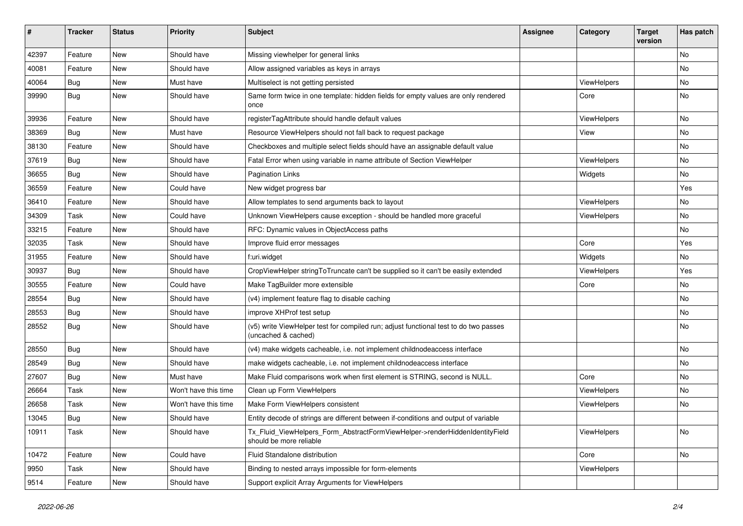| $\pmb{\#}$ | <b>Tracker</b> | <b>Status</b> | <b>Priority</b>      | <b>Subject</b>                                                                                              | <b>Assignee</b> | Category           | <b>Target</b><br>version | Has patch |
|------------|----------------|---------------|----------------------|-------------------------------------------------------------------------------------------------------------|-----------------|--------------------|--------------------------|-----------|
| 42397      | Feature        | <b>New</b>    | Should have          | Missing viewhelper for general links                                                                        |                 |                    |                          | <b>No</b> |
| 40081      | Feature        | New           | Should have          | Allow assigned variables as keys in arrays                                                                  |                 |                    |                          | No        |
| 40064      | Bug            | New           | Must have            | Multiselect is not getting persisted                                                                        |                 | <b>ViewHelpers</b> |                          | <b>No</b> |
| 39990      | Bug            | New           | Should have          | Same form twice in one template: hidden fields for empty values are only rendered<br>once                   |                 | Core               |                          | No        |
| 39936      | Feature        | New           | Should have          | registerTagAttribute should handle default values                                                           |                 | ViewHelpers        |                          | No        |
| 38369      | Bug            | New           | Must have            | Resource ViewHelpers should not fall back to request package                                                |                 | View               |                          | No        |
| 38130      | Feature        | New           | Should have          | Checkboxes and multiple select fields should have an assignable default value                               |                 |                    |                          | No        |
| 37619      | Bug            | New           | Should have          | Fatal Error when using variable in name attribute of Section ViewHelper                                     |                 | ViewHelpers        |                          | No        |
| 36655      | Bug            | New           | Should have          | <b>Pagination Links</b>                                                                                     |                 | Widgets            |                          | No        |
| 36559      | Feature        | <b>New</b>    | Could have           | New widget progress bar                                                                                     |                 |                    |                          | Yes       |
| 36410      | Feature        | New           | Should have          | Allow templates to send arguments back to layout                                                            |                 | ViewHelpers        |                          | No        |
| 34309      | Task           | New           | Could have           | Unknown ViewHelpers cause exception - should be handled more graceful                                       |                 | ViewHelpers        |                          | No        |
| 33215      | Feature        | New           | Should have          | RFC: Dynamic values in ObjectAccess paths                                                                   |                 |                    |                          | No        |
| 32035      | Task           | New           | Should have          | Improve fluid error messages                                                                                |                 | Core               |                          | Yes       |
| 31955      | Feature        | New           | Should have          | f:uri.widget                                                                                                |                 | Widgets            |                          | No        |
| 30937      | Bug            | New           | Should have          | CropViewHelper stringToTruncate can't be supplied so it can't be easily extended                            |                 | ViewHelpers        |                          | Yes       |
| 30555      | Feature        | New           | Could have           | Make TagBuilder more extensible                                                                             |                 | Core               |                          | No        |
| 28554      | Bug            | New           | Should have          | (v4) implement feature flag to disable caching                                                              |                 |                    |                          | No        |
| 28553      | Bug            | New           | Should have          | improve XHProf test setup                                                                                   |                 |                    |                          | No        |
| 28552      | Bug            | New           | Should have          | (v5) write ViewHelper test for compiled run; adjust functional test to do two passes<br>(uncached & cached) |                 |                    |                          | No        |
| 28550      | Bug            | New           | Should have          | (v4) make widgets cacheable, i.e. not implement childnodeaccess interface                                   |                 |                    |                          | No        |
| 28549      | Bug            | New           | Should have          | make widgets cacheable, i.e. not implement childnodeaccess interface                                        |                 |                    |                          | <b>No</b> |
| 27607      | <b>Bug</b>     | New           | Must have            | Make Fluid comparisons work when first element is STRING, second is NULL.                                   |                 | Core               |                          | No        |
| 26664      | Task           | New           | Won't have this time | Clean up Form ViewHelpers                                                                                   |                 | ViewHelpers        |                          | No        |
| 26658      | Task           | New           | Won't have this time | Make Form ViewHelpers consistent                                                                            |                 | ViewHelpers        |                          | No        |
| 13045      | Bug            | New           | Should have          | Entity decode of strings are different between if-conditions and output of variable                         |                 |                    |                          |           |
| 10911      | Task           | New           | Should have          | Tx_Fluid_ViewHelpers_Form_AbstractFormViewHelper->renderHiddenIdentityField<br>should be more reliable      |                 | ViewHelpers        |                          | No        |
| 10472      | Feature        | New           | Could have           | Fluid Standalone distribution                                                                               |                 | Core               |                          | No        |
| 9950       | Task           | New           | Should have          | Binding to nested arrays impossible for form-elements                                                       |                 | ViewHelpers        |                          |           |
| 9514       | Feature        | New           | Should have          | Support explicit Array Arguments for ViewHelpers                                                            |                 |                    |                          |           |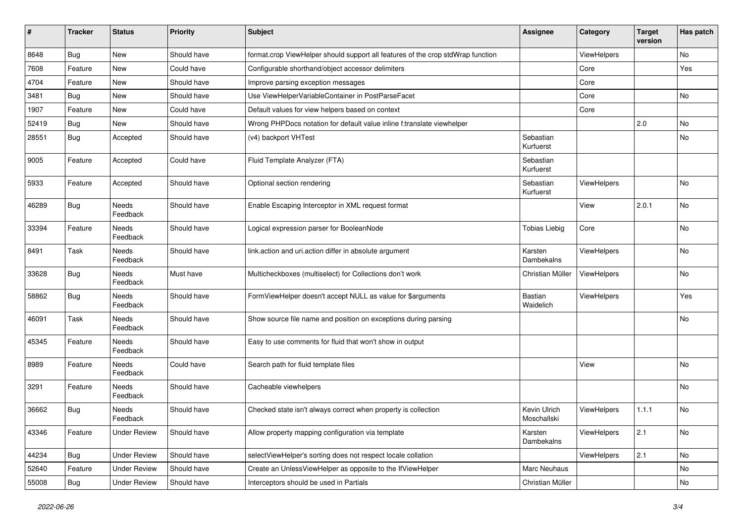| #     | <b>Tracker</b> | <b>Status</b>            | <b>Priority</b> | <b>Subject</b>                                                                  | <b>Assignee</b>                    | Category    | <b>Target</b><br>version | Has patch |
|-------|----------------|--------------------------|-----------------|---------------------------------------------------------------------------------|------------------------------------|-------------|--------------------------|-----------|
| 8648  | Bug            | New                      | Should have     | format.crop ViewHelper should support all features of the crop stdWrap function |                                    | ViewHelpers |                          | No        |
| 7608  | Feature        | New                      | Could have      | Configurable shorthand/object accessor delimiters                               |                                    | Core        |                          | Yes       |
| 4704  | Feature        | New                      | Should have     | Improve parsing exception messages                                              |                                    | Core        |                          |           |
| 3481  | Bug            | New                      | Should have     | Use ViewHelperVariableContainer in PostParseFacet                               |                                    | Core        |                          | No        |
| 1907  | Feature        | New                      | Could have      | Default values for view helpers based on context                                |                                    | Core        |                          |           |
| 52419 | Bug            | New                      | Should have     | Wrong PHPDocs notation for default value inline f:translate viewhelper          |                                    |             | 2.0                      | <b>No</b> |
| 28551 | Bug            | Accepted                 | Should have     | (v4) backport VHTest                                                            | Sebastian<br>Kurfuerst             |             |                          | No        |
| 9005  | Feature        | Accepted                 | Could have      | Fluid Template Analyzer (FTA)                                                   | Sebastian<br>Kurfuerst             |             |                          |           |
| 5933  | Feature        | Accepted                 | Should have     | Optional section rendering                                                      | Sebastian<br>Kurfuerst             | ViewHelpers |                          | No        |
| 46289 | Bug            | Needs<br>Feedback        | Should have     | Enable Escaping Interceptor in XML request format                               |                                    | View        | 2.0.1                    | No        |
| 33394 | Feature        | Needs<br>Feedback        | Should have     | Logical expression parser for BooleanNode                                       | <b>Tobias Liebig</b>               | Core        |                          | <b>No</b> |
| 8491  | Task           | <b>Needs</b><br>Feedback | Should have     | link.action and uri.action differ in absolute argument                          | Karsten<br>Dambekalns              | ViewHelpers |                          | No        |
| 33628 | Bug            | Needs<br>Feedback        | Must have       | Multicheckboxes (multiselect) for Collections don't work                        | Christian Müller                   | ViewHelpers |                          | No        |
| 58862 | <b>Bug</b>     | Needs<br>Feedback        | Should have     | FormViewHelper doesn't accept NULL as value for \$arguments                     | Bastian<br>Waidelich               | ViewHelpers |                          | Yes       |
| 46091 | Task           | Needs<br>Feedback        | Should have     | Show source file name and position on exceptions during parsing                 |                                    |             |                          | No        |
| 45345 | Feature        | Needs<br>Feedback        | Should have     | Easy to use comments for fluid that won't show in output                        |                                    |             |                          |           |
| 8989  | Feature        | Needs<br>Feedback        | Could have      | Search path for fluid template files                                            |                                    | View        |                          | No        |
| 3291  | Feature        | Needs<br>Feedback        | Should have     | Cacheable viewhelpers                                                           |                                    |             |                          | <b>No</b> |
| 36662 | <b>Bug</b>     | Needs<br>Feedback        | Should have     | Checked state isn't always correct when property is collection                  | <b>Kevin Ulrich</b><br>Moschallski | ViewHelpers | 1.1.1                    | No        |
| 43346 | Feature        | Under Review             | Should have     | Allow property mapping configuration via template                               | Karsten<br>Dambekalns              | ViewHelpers | 2.1                      | No        |
| 44234 | <b>Bug</b>     | <b>Under Review</b>      | Should have     | selectViewHelper's sorting does not respect locale collation                    |                                    | ViewHelpers | 2.1                      | No        |
| 52640 | Feature        | <b>Under Review</b>      | Should have     | Create an UnlessViewHelper as opposite to the IfViewHelper                      | Marc Neuhaus                       |             |                          | No        |
| 55008 | Bug            | <b>Under Review</b>      | Should have     | Interceptors should be used in Partials                                         | Christian Müller                   |             |                          | No        |